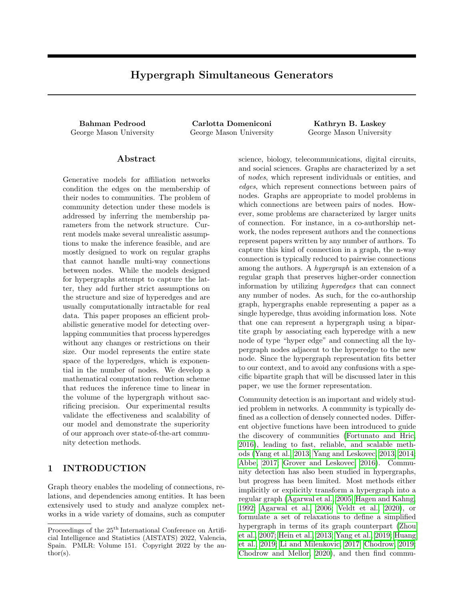# Hypergraph Simultaneous Generators

Bahman Pedrood Carlotta Domeniconi Kathryn B. Laskey George Mason University George Mason University George Mason University

### Abstract

Generative models for affiliation networks condition the edges on the membership of their nodes to communities. The problem of community detection under these models is addressed by inferring the membership parameters from the network structure. Current models make several unrealistic assumptions to make the inference feasible, and are mostly designed to work on regular graphs that cannot handle multi-way connections between nodes. While the models designed for hypergraphs attempt to capture the latter, they add further strict assumptions on the structure and size of hyperedges and are usually computationally intractable for real data. This paper proposes an efficient probabilistic generative model for detecting overlapping communities that process hyperedges without any changes or restrictions on their size. Our model represents the entire state space of the hyperedges, which is exponential in the number of nodes. We develop a mathematical computation reduction scheme that reduces the inference time to linear in the volume of the hypergraph without sacrificing precision. Our experimental results validate the effectiveness and scalability of our model and demonstrate the superiority of our approach over state-of-the-art community detection methods.

## 1 INTRODUCTION

Graph theory enables the modeling of connections, relations, and dependencies among entities. It has been extensively used to study and analyze complex networks in a wide variety of domains, such as computer science, biology, telecommunications, digital circuits, and social sciences. Graphs are characterized by a set of nodes, which represent individuals or entities, and edges, which represent connections between pairs of nodes. Graphs are appropriate to model problems in which connections are between pairs of nodes. However, some problems are characterized by larger units of connection. For instance, in a co-authorship network, the nodes represent authors and the connections represent papers written by any number of authors. To capture this kind of connection in a graph, the n-way connection is typically reduced to pairwise connections among the authors. A hypergraph is an extension of a regular graph that preserves higher-order connection information by utilizing hyperedges that can connect any number of nodes. As such, for the co-authorship graph, hypergraphs enable representing a paper as a single hyperedge, thus avoiding information loss. Note that one can represent a hypergraph using a bipartite graph by associating each hyperedge with a new node of type "hyper edge" and connecting all the hypergraph nodes adjacent to the hyperedge to the new node. Since the hypergraph representation fits better to our context, and to avoid any confusions with a specific bipartite graph that will be discussed later in this paper, we use the former representation.

Community detection is an important and widely studied problem in networks. A community is typically defined as a collection of densely connected nodes. Different objective functions have been introduced to guide the discovery of communities [\(Fortunato and Hric,](#page-8-0) [2016\)](#page-8-0), leading to fast, reliable, and scalable methods [\(Yang et al., 2013;](#page-9-0) [Yang and Leskovec, 2013,](#page-9-1) [2014;](#page-9-2) [Abbe, 2017;](#page-8-1) [Grover and Leskovec, 2016\)](#page-8-2). Community detection has also been studied in hypergraphs, but progress has been limited. Most methods either implicitly or explicitly transform a hypergraph into a regular graph [\(Agarwal et al., 2005;](#page-8-3) [Hagen and Kahng,](#page-8-4) [1992;](#page-8-4) [Agarwal et al., 2006;](#page-8-5) [Veldt et al., 2020\)](#page-9-3), or formulate a set of relaxations to define a simplified hypergraph in terms of its graph counterpart [\(Zhou](#page-9-4) [et al., 2007;](#page-9-4) [Hein et al., 2013;](#page-8-6) [Yang et al., 2019;](#page-9-5) [Huang](#page-8-7) [et al., 2019;](#page-8-7) [Li and Milenkovic, 2017;](#page-9-6) [Chodrow, 2019;](#page-8-8) [Chodrow and Mellor, 2020\)](#page-8-9), and then find commu-

Proceedings of the  $25<sup>th</sup>$  International Conference on Artificial Intelligence and Statistics (AISTATS) 2022, Valencia, Spain. PMLR: Volume 151. Copyright 2022 by the au- $\text{thor}(s)$ .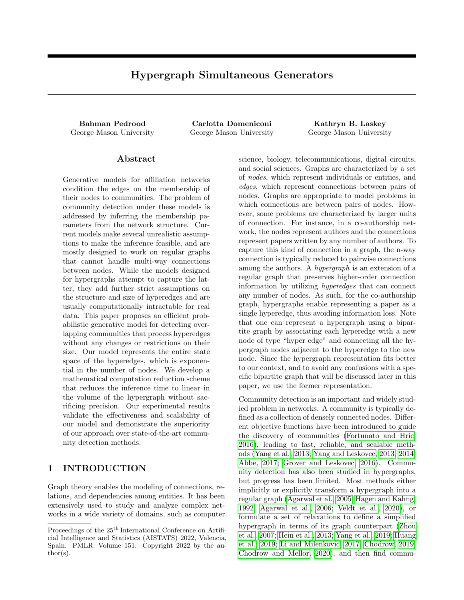nities therein using popular graph-based community detection methods. Other approaches constrain the size of hyperedges to some fixed value and apply a graph community detection technique to the hypergraph's adjacency  $d$ -tensor (Bulò and Pelillo, 2009; [Ghoshdastidar and Dukkipati, 2014;](#page-8-11) [Kim et al., 2017;](#page-9-7) [Leordeanu and Sminchisescu, 2012\)](#page-9-8). Given the aforementioned limitations, existing hypergraph methods are not widely applied to real-world data.

In this paper, we introduce *Hypergraph Simultane*ous Generators (HySGen), a probabilistic generative model for discovering overlapping communities in hypergraphs. Unlike previous work on community detection in hypergraphs, HySGen directly leverages the higher order relations captured by the hyperedges, without enforcing constraints that may distort the connection information. Our generative model follows the assumption of affiliation networks [\(Lattanzi](#page-9-9) [and Sivakumar, 2009\)](#page-9-9) for the causality relation between communities and [hyper]edges, and our inference method estimates the degree of affiliation of the nodes to the overlapping communities. The proposed generative model and inference method are inspired by [Yang and Leskovec](#page-9-1) [\(2013\)](#page-9-1), but include several key distinctions. Although we define the affiliation of a node to a community directly as a probability measure, unlike LDA-based approaches, we do not impose any constraint that limits the membership to a community based on the memberships to other communities. This enables the inference process to find any degree of overlap among communities. Furthermore, the model accepts input hypergraphs with hyperedges of any size. While this makes the complexity of the model exponential in the number of nodes, we propose an algebraic reduction scheme that provides a solution with complexity proportional to the sum of the hyperedges' degrees. Our experiments on synthetic and real-world networks demonstrate the effectiveness of our model in discovering ground-truth communities and its superiority compared to popular baseline methods.

## 2 RELATED WORK

Generative models allow modeling complex assumptions about an underlying distribution of data in a clear and interpretable way. Although they have been extensively employed for community detection in graphs [\(Jin et al., 2021;](#page-8-12) [Abbe, 2017\)](#page-8-1), progress in developing such models for hypergraphs has been limited. One reason might be the computational burden of inference algorithms, especially given the exponential size of the space of hyperedges. For this reason, most previous work has placed strict constraints on hyperedge size, and/or made substantial relaxations and approximations [\(Angelini et al., 2015;](#page-8-13) [Ke et al., 2019\)](#page-9-10).

For example, [Kim et al.](#page-9-11) [\(2018\)](#page-9-11) proposed a method that only works on k-uniform, sparse, assortative hypergraphs, and only when there are two equally sized communities. Recently, [Chodrow et al.](#page-8-14) [\(2021\)](#page-8-14) tackled the computational intensity of their inference by converting the procedure to maximizing a modularity measure [\(Chodrow et al., 2021\)](#page-8-14). Further, the authors limit the hyperedge size in their experiments to a maximum of 4, and their modularity maximization approach includes reducing the hypergraph to a clique transformed graph. Moreover, almost all the current generative approaches for community detection in hypergraphs formulate their model by extending a variation of Stochastic Block Models (SBM) for regular graphs, so they can only partition the nodes, rather than discovering overlapping communities.

Another class of generative models for graphs is based on affiliation network models [\(Lattanzi and Sivaku](#page-9-9)[mar, 2009\)](#page-9-9). Affiliation networks provide a random model for real-world social networks. They consist of a bipartite graph that shows the connections between actors and communities, and of a second graph that shows the connection between pairs of actors; the two graphs evolve together in the original model. One of the most influential graph community detection methods based on affiliation networks is BigCLAM [\(Yang](#page-9-1) [and Leskovec, 2013\)](#page-9-1). BigCLAM introduces a generative model on the bipartite graph to discover overlapping communities based on the connections in the actors' graph. Despite its advantages, this model makes ad-hoc choices (e.g. edge probability formulation), which result in poor interpretability and weak theoretical underpinning. To the best of our knowledge, HyS-Gen is the first community detection method for hypergraphs based on an affiliation network model, and it does not suffer from the aforementioned limitations of BigCLAM. Unlike any other hypergraph generative models for community detection, HySGen is not based on SBMs, it does not constrain the size of hyperedges, and its generative model and inference algorithm do not have any kind of lossy relaxations or approximations. Nonetheless, it performs the iterations for inferring  $N$  C node membership parameters as fast as  $O(C \text{ vol}_{H}),$  where N is the number of nodes, C is the number of communities, and  $vol_H$  is the sum of degrees of the hyperedges. We explain the details of HySGen in the next section.

## 3 GENERATIVE MODEL

A network under our model is an undirected, unweighted hypergraph  $H(V; E)$  with N nodes  $V =$  $f_{V_1}$ ; :::;  $V_N g$  and M hyperedges  $E = f e_1$ ; :::;  $e_M g$ . A hyperedge  $e \, 2 \, E$  represents a connection between a set of  $m$  nodes, where  $m-2$ . We define the degree of a hy-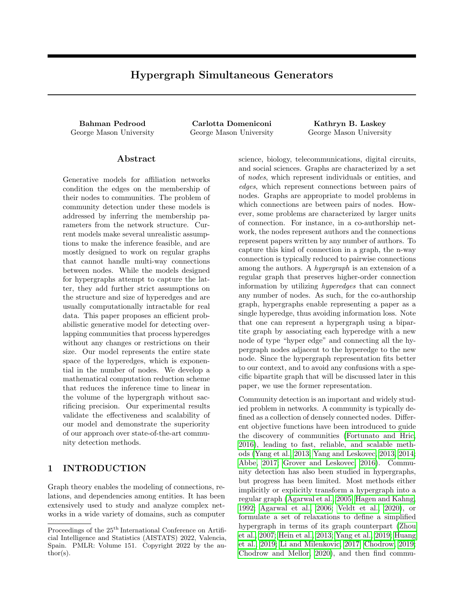peredge  $\deg(e)$  as the number of nodes in e, and the degree of a node  $deg(V)$  as the number of hyperedges that have  $\nu$  as a member. The *volume* of the hypergraph  $vol_H$  is the sum of the degrees of all the hyperedges or the nodes:  $vol_H = \sum_{e2E} deg(e) = \sum_{v2V} deg(v)$ . A hyperedge space  $\Upsilon$  in our model is the set of all *poten*tial hyperedges  $\Upsilon = f e/e$  V; jej 2g. While E is a subset of  $\Upsilon$  that exist in H, the set of non-hyperedges  $\overline{E}$  is defined as the subset of  $\Upsilon$  that do not exist in H, which can be seen as the complement of  $E$  with respect to Υ:  $\bar{E} = \bar{f}e/\bar{e} \; 2 \; \Upsilon$ ;  $\bar{e} \; \bar{e} \; 2 \; Eg$ . To improve the clarity of formulations later in this section, for any node  $V$  we also define the set  $E_v = \text{fej}e \; 2 \; E$ ;  $v \; 2 \; \text{eg}$  as the subset of edges that include node v, and similarly the set  $\bar{E}_v = f\bar{e}/\bar{e} \, 2 \, \bar{E}$ ;  $v \, 2 \, \bar{e}$ g as the subset of non-hyperedges that include *v*. An *Extended* hyperedge space  $\Upsilon^{\theta}$  is also defined similarly by adding the isolated nodes in the hyperedge space  $\Upsilon^{\theta} = f x / x$   $V : x / x / 1$   $q = f \Upsilon / V q$ , and will be used later in section [5.](#page-3-0)

For each "  $2 \Upsilon$ , we define an indicator variable  $h_{\nu}$ , which equals 1 when "  $2 E$  and 0 otherwise. We assume there are C communities  $[C] = f_1; \dots; Cg$  in the network, and the primary goal in this paper is to discover those communities. Each node  $V 2 V$  may be simultaneously affiliated to any community  $c \nvert 2 \nvert |C|$ with probability  $S_{VC} \supseteq \mathbb{R}^{[0,1]}$ , which also specifies the strength or weight of this affiliation.  $S \n\supseteq \mathbb{R}_{N}^{[0,1]}$  $N^{\cup}C$  is the set of all the community membership parameters, where  $S_{VC} = 0$  shows no affiliation and  $S_{VC} = 1$ shows the strongest affiliation. The proposed generative model assumes that the joint affiliation of any subset " of nodes to a community  $c$  is positively associated with their tendency to connect together and form a hyperedge. The probability of community  $c$ generating a hyperedge for " is given by:

<span id="page-2-0"></span>
$$
r_c = \prod_{V2''} S_{Vc} \tag{1}
$$

With this formulation, for a community  $c$  to have a high chance of generating a hyperedge for ", all the nodes in " must have a high affiliation to c. The probability in [\(1\)](#page-2-0) decreases dramatically if at least one of the nodes has a low weight. Big hyperedges are discouraged by this function, but large clusters of nodes with strong enough affiliation to a community are still likely to create a hyperedge.

We assume the nodes can be members of more than one community at the same time. We develop our generative model in a way to allow many communities to simultaneously contribute in generating a hyperedge. This means that in order for a hyperedge to connect the nodes in ", it must be generated by at least one of the communities. A direct formulation of the overall probability of generating a hyperedge based on this assumption requires incorporating  $2^C$  1 possible cases where each community does or does not contribute in generating the hyperedge. Instead, we formulate this probability with only C terms considering the fact that the probability of not generating a hyperedge corresponds to the joint probability that *none* of the communities contribute. Incorporating the independence assumption for the effect of each community, this probability is computed as:

<span id="page-2-1"></span>
$$
P(hn = 1) = 1 \quad \prod_{c=0}^{C} (1 \quad \text{``c)} \tag{2}
$$

This kind of formulation has been previously used in the context of Bayesian networks, where it is known as noisy-OR model [\(Heckerman, 1993\)](#page-8-15). The formulation in [\(2\)](#page-2-1) also includes a background probability for generating random hyperedges that is represented here as a null community with index  $c = 0$ , to which every node has a fixed small affiliation. This allows some hyperedges to be generated without having an affiliation to any of the target communities.

Figure [1](#page-3-1) is a graphical representation of our hypergraph model. We also assumed a truncated gamma prior distribution for the parameters in S with shape

and scale <sup>1</sup>, and we set the random variable upper bound to 1. The generative process for creating the hyperedges is specified as follows:

- 1. **Repeat:** Do for *every* node  $V$  and community  $c \quad 2 \quad f_1: :: Cq:$  Choose  $S_{\nu c}$ TruncatedGamma $($ ;  $\frac{1}{S_{VC}}$  1).
- 2. Repeat: Do for every potential hyperedge " $2\Upsilon$ :
	- (a) Compute  $P'' = P(h'' = 1)$  as specified in [\(2\)](#page-2-1).
	- (b) Choose hyperedge  $e$  Bernouli $(P<sub>n</sub>)$ .

Given a hypergraph H, the problem of discovering the communities will be to infer the parameters in S, which is discussed in the next section.

### <span id="page-2-2"></span>4 INFERENCE

Exact inference of the posterior distribution  $P(S/E)$  in a fully Bayesian setting is intractable. As we discuss in section [5,](#page-3-0) even a point estimate solution for S based on a direct formulation of the problem is not scalable. Nonetheless, we start developing our inference algorithm with a direct formulation of the log-posterior distribution of the model to obtain a Maximum A-Posteriori (MAP) solution for S. We set the shape parameter of the prior distribution to 1, and to avoid any randomness bias toward certain hyperedges, we give equal background probabilities to all the nodes (8v 2 V :  $S_{v0} = S_0$ ). Additionally, since learning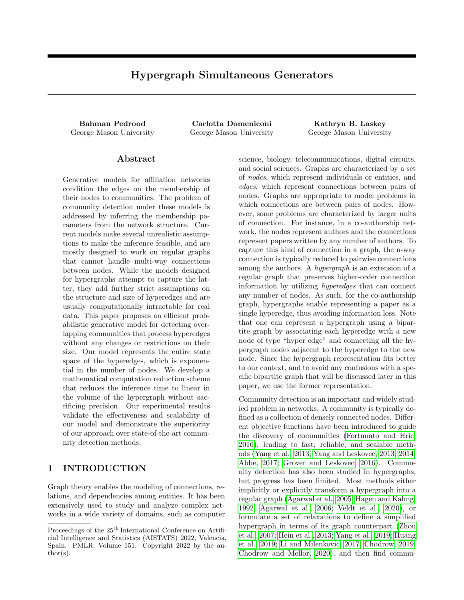

<span id="page-3-1"></span>Figure 1: Plate model displays a graphical representation of the proposed generative model for a given hypergraph. Shaded circles are the observations and fixed parameters, and white circles are the model parameters. For each potential hyperedge ", the community membership weights  $S_{VC}$  of the nodes  $V 2$  "specify the probability of generating a hyperedge for ". The parameters  $S_{\nu 0}$  show the affiliation of the nodes to a null community that represents a background probability for generating random hyperedges.

 $S_0$  from the data interprets the null community as a target community and captures some shared pattern among the nodes, we set it as a fixed parameter. This parameter's precise value assignment will be explored in detail in appendix C. Our solution is determined by maximizing the log-posterior distribution of S:

<span id="page-3-2"></span>
$$
\hat{S} = \underset{0}{\text{argmax}} \left\{ \log P(E|S) \sum_{v \ge V} \sum_{c=1}^{c} S_{vc} + f(.; S_0) \right\}
$$
(3)

where  $f(\cdot; S_0)$  is the part of the prior log  $P(S_j)$  that does not depend on the target parameters and can be removed without affecting the solution. The term with the coefficient corresponds to the prior distribution of the hyperedges. Our choice of prior formulation has made it equivalent to applying a  $L_1$ -regularization on the values of S that encourages sparsity of the solution. We define  $L_H(S)$  as the part of the log posterior that is used in the computation for optimizing [\(3\)](#page-3-2):

$$
L_H(S) = \sum_{e2E} \log \left( 1 \prod_{c=0}^{C} \left( 1 \prod_{v2e} S_{vc} \right) \right)
$$
  
+ 
$$
\sum_{e2E} \sum_{c=0}^{C} \log \left( 1 \prod_{v2e} S_{vc} \right) \sum_{v2V} \sum_{c=1}^{C} S_{vc}
$$
 (4)

 $L_H(S)$  is concave in each vector  $S_{V}$ , assuming the values of S as constant for the rest of the nodes. As such, we apply gradient ascent on each  $S_{V}$  one node at a time, as part of an iterative Block Coordinate Ascent scheme. Under this scheme, we can update a  $S_{V}$ : vector by maximizing a subproblem of [\(4\)](#page-3-3) that only includes the terms with components of  $S_{V}$ :

<span id="page-3-6"></span>
$$
L_H(S_{v:}) = \sum_{\substack{fe2E\\jv2eg}} \log \left(1 \prod_{c=0}^{C} \left(1 \prod_{u2e} S_{uc}\right)\right)
$$
  
+ 
$$
\sum_{\substack{fe2E\\jv2eg}} \sum_{c=0}^{C} \log \left(1 \prod_{u2e} S_{uc}\right) \sum_{c=1}^{C} S_{vc}
$$
<sup>(5)</sup>

where  $L_H(S_{V})$  is the part of  $L_H$  that depends on  $S_{V}$ . To apply gradient ascent on  $S_{V:}$ , we compute the gradient vectors  $\Gamma \mathsf{\perp}_{\mathsf{H}}(S_{\mathsf{V}}) = \left[ \frac{\mathscr{C} \mathsf{\perp}_{\mathfrak{H}}(S_{\mathsf{V1}})}{\mathscr{C}_{\mathsf{S}\mathsf{V1}}}, \dots, \frac{\mathscr{C} \mathsf{\perp}_{\mathfrak{H}}(S_{\mathsf{V}}C)}{\mathscr{C}_{\mathsf{S}\mathsf{V}C}} \right]$ for node v by calculating the partial derivatives of  $L_H(S_{V})$  against  $S_{Vc}$ , for each  $c \n\supseteq [C]$ :

$$
\frac{\mathcal{E}_{LH}(S_{vc})}{\mathcal{E}_{Svc}} = \frac{\sum_{\substack{F \in 2E \\ f \in 2E}} \frac{\prod_{m2(e \ f \vee g)} S_{mc} \prod_{b2([C] \ fcg)} (1 \prod_{u2e} S_{ub})}{1 \prod_{b=0}^{C} (1 \prod_{u2e} S_{ub})}}{\sum_{\substack{f \in 2E \\ f \in 2E}} \frac{\prod_{m2(e \ f \vee g)} S_{mc}}{1 \prod_{u2e} S_{uc}} I_1(S_{vc})}
$$
\n(6)

where  $I_1(x)$  is an indicator function which gives the value 1 if  $S_{VC}$  1 and 0 if its value is 0. Having [\(6\)](#page-3-4) computed for all communities, the updating formula for optimizing the rows of  $S$  is as follows:

<span id="page-3-5"></span><span id="page-3-4"></span>
$$
S_{V:}^{new} = S_{V:}^{old} + \left( r L_H(S_{V:}) \right)
$$
 (7)

where is a learning rate parameter for optimization. Although the updating formula in [\(7\)](#page-3-5) could potentially be used for the inference, in practice it is computationally too expensive. In fact, any conventional deterministic or approximate inference technique for the parameters in our model needs at least one round of calculations for each hyperedge  $e \, 2 \, E$  and each nonhyperedge  $\bar{e} \, 2 \, \bar{E}$ , for a total processing of  $2^N$  ( $N+1$ ) potential hyperedges. Next we propose a solution to this problem to make our approach scalable for large hypergraphs.

#### <span id="page-3-3"></span><span id="page-3-0"></span>5 COMPUTATION REDUCTION

A one-time computation for any of [\(4\)](#page-3-3) to [\(6\)](#page-3-4) includes enumerating the complete hyperedge space  $\Upsilon$  and it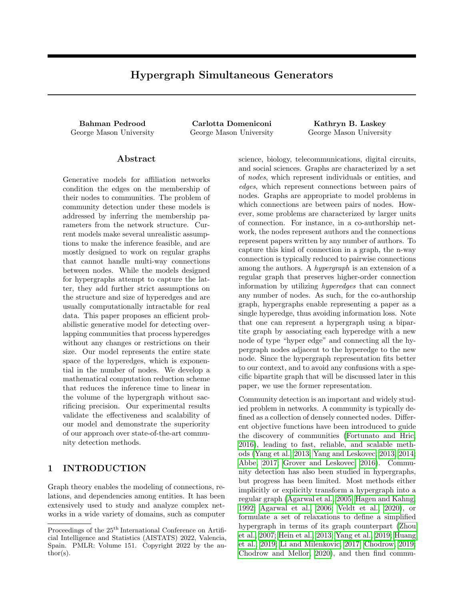<span id="page-4-0"></span>Table 1: The list of sets defined for Section [5.](#page-3-0) Symbol definition Description

| Symbol definition                                                                                                            | Description                                            |
|------------------------------------------------------------------------------------------------------------------------------|--------------------------------------------------------|
| $\Upsilon_c = f''/T 2 \Upsilon$ ; 8u 2 ": $S_{uc} > 0q$                                                                      | Hyperedge space within community $c$                   |
| $\Upsilon_{\nu c} = f''/T 2 \Upsilon_{c}/V 2 T_{g}$                                                                          | Members of $\Upsilon_c$ that have node V               |
| $\overline{\Upsilon}_{\nu c} = f''/T 2 \Upsilon_c$ ; $v \ge T_q$                                                             | Members of $\Upsilon_c$ that do not have node V        |
| $\Upsilon^{\theta} = f x/x$ $V:  x $ $1g = f \Upsilon / Vg$                                                                  | Extended hyperedge space: Includes isolated nodes      |
| $\Upsilon_c^{\theta} = f''i'' 2 \Upsilon^{\theta}$ ; 8u 2 ": $S_{uc} > 0$ g                                                  | Extended hyperedge space within community $c$          |
| $\Upsilon_{\nu c}^{\ell} = f^{\prime\prime}j^{\prime\prime} \cdot 2 \Upsilon_{c}^{\ell} \cdot v \cdot 2 \Upsilon_{q}^{\ell}$ | Members of $\Upsilon_c^{\ell}$ that have node V        |
| $\overline{\Upsilon}^{\theta}{}_{\mathsf{V}c} = f''j'' 2 \Upsilon^{\theta}_{c} ; \mathsf{V} 2 \, \degree g$                  | Members of $\Upsilon_c^{\ell}$ that do not have node V |

takes  $O(C^2 \quad N^2 \quad 2^{N-2})$  computations. Each of those equations consists of two summations, one for the hyperedges  $E$  and the other for the non-hyperedges  $\overline{E}$ . Since a hypergraph is very sparse in practice  $(M \t{N})$ , it is the summation over  $\bar{e} \, 2 \, \bar{E}$  that makes the computational complexity exponential. To address this complication, in this section, we reformulate the summations over  $E$  to reduce the exponential enumeration. With the new formulations, a value is initialized for those summations once in  $O(1)$  and then will be updated, again in  $O(1)$  at each optimization iteration. The new formulation is virtually lossless and does not sacrifice any precision. We also apply an initializationupdate routine for the observed hyperedges to further reduce the worst-case complexity. This routine, along with a detailed complexity analysis discussion, is explained in appendix B, where we show that these reformulations reduce the overall complexity of our inference algorithm to  $O(C \text{ vol}_{H})$ .

#### <span id="page-4-6"></span>5.1 Reformulations

Our goal in this section is to find an alternative formulation for the  $\bar{e} \, 2 \, \bar{E}$  summations in [\(5\)](#page-3-6) and [\(6\)](#page-3-4) so that a tractable product of  $S_{VC}$  can be factorized out of the summation. With that, we can update the value of those summations in a tractable time after a new  $S_{VC}$  value is determined as discussed in section [5.2.](#page-5-0) We extend our notation in table [1](#page-4-0) for a more clear formulation in this section. We start by working toward finding a transformation for [\(5\)](#page-3-6), then we develop a transformation for [\(6\)](#page-3-4) in a similar fashion.

We define the function  $\Psi(A;\mathcal{C})$  to use for developing our reformulations:

<span id="page-4-1"></span>
$$
\Psi(A;c) = \sum_{\nu \ge A} \log \left( 1 - \prod_{u \ge \nu} S_{uc} \right) \tag{8}
$$

where  $A$  can be any given subset of the nodes. Using [\(8\)](#page-4-1) to represent the summation over non-hyperedges, [\(5\)](#page-3-6) can be rewritten as:

$$
L_{H}(S_{v:}) = \sum_{\substack{f \in 2E \\ jv2eg}} \log \left( 1 \prod_{c=0}^{C} \left( 1 \prod_{u \geq e} S_{uc} \right) \right)
$$
  
+ 
$$
\sum_{c=0}^{C} \Psi \left( \frac{f e 2E}{jv2eg'} c \right) \sum_{c=1}^{C} S_{vc}
$$
 (9)

As  $\Psi(\frac{fe2E}{jv2eg},c) = \Psi(\Upsilon_{vc};c) \quad \Psi(\frac{fe2E}{jv2eg},c)$ , [\(5\)](#page-3-6) can be computed in a tractable time if we have a tractable way to compute  $\Psi(\Upsilon_{\nu c}/c)$ .

Since  $\prod_{u \geq v} S_{uc}$  is bounded in the range [0;1], if we prevent it from becoming exactly 1, we can replace  $\log\left(1-\prod_{u\geq v}S_{uc}\right)$  in [\(8\)](#page-4-1) with its Taylor expansion around zero (Maclaurin expansion). Note that the only situation in which  $\prod_{u \geq v} S_{uc}$  for some  $\degree$  becomes 1 is if all the nodes in "have a membership weight of 1 to the community c. But under our model, this can only happen if all subsets of " with size 2 or more have a corresponding hyperedge in the hypergraph H. Since Ψ is only computed to be used for non-hyperedge summations, in that case we can dismiss including such  $\prime$ and its subsets from the computations.

Replacing  $log(1 - \prod_{u \geq v} S_{uc})$  in [\(8\)](#page-4-1) with its equivalent Taylor expansion, we have:

<span id="page-4-2"></span>
$$
\Psi(A;c) = \sum_{n=2}^{\infty} \sum_{n=1}^{n_1} \frac{1}{n} \left( \prod_{u \ge n} S_{uc} \right)^n = \sum_{n=1}^{n_1} n(A;c)
$$
\n(10)

where  $n_1$  is an upper bound for the order of the series. It theoretically goes to  $1$ , but in practice the terms in the series converge to 0 quickly and a very accurate estimate is yielded by setting  $n_1$  to a finite  $O(1)$  number. We show the  $\mathcal{n}^{th}$  term of the expansion in [\(10\)](#page-4-2) with the function  $n(A; c) = \frac{1}{n} \sum_{n=1}^{\infty} (\prod_{u \geq n} S_{uc})^n$ .

Applying the transformation in [\(10\)](#page-4-2) to  $\Psi(\Upsilon_{\nu c}; c)$  we have  $\Psi(\Upsilon_{\nu c}; c) = \sum_{n=1}^{n_1} n(\Upsilon_{\nu c}; c)$ . Having the transformed formulation,  $S_{VC}$  can be completely factorized out of  $n(\Upsilon_{\nu c}; c)$ :

<span id="page-4-3"></span>
$$
_{n}(\Upsilon_{\nu c};c) = S_{\nu c}{}^{n} \ \ _{n}(\overline{\Upsilon^{0}}_{\nu c};c) \tag{11}
$$

It is trivial to show that for every node  $V$  and community  $c$  the following equality holds:

<span id="page-4-4"></span>
$$
n(\Upsilon_c^0/c) = n(\overline{\Upsilon'}_{\nu c}/c) + n(\Upsilon_{\nu c}/c) - \frac{1}{n}S_{\nu c}^n \quad (12)
$$

where the last term is added to count for the case of  $\psi'' = f \circ g$ , which is counted in  $n(\Upsilon_c^{\theta}, c)$ , but is neither in  $n(\overline{\Upsilon}^{\mathcal{V}}_{\mathcal{VC}}; c)$  nor in  $n(\Upsilon_{\mathcal{VC}}; c)$ . Using [\(11\)](#page-4-3) to replace the  $n(\overline{\Upsilon}^{\overline{\theta}}{}_{\nu c};c)$  in [\(12\)](#page-4-4) by its equivalent in terms of  $n(\Upsilon_{\nu c}; c)$ , the following equivalency can be derived:

<span id="page-4-5"></span>
$$
n(\Upsilon_{\nu c}; c) = \frac{S_{\nu c}^{\ n}}{S_{\nu c}^{\ n} + 1} (\quad n(\Upsilon_{c}^{\theta}; c) + \frac{1}{n} S_{\nu c}^{\ n}) \tag{13}
$$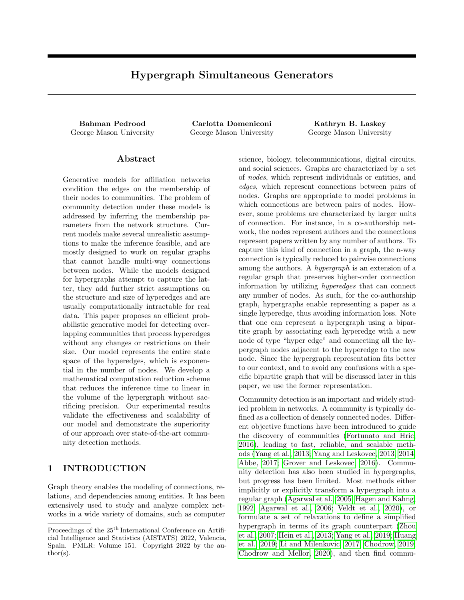This means by having one value of  $n(\Upsilon_c^0, c)$  for each community c, we can compute  $n(\Upsilon_{\nu c}, c)$  and consequently  $\Psi(\frac{fe2E}{jv2eg}, c)$  for every  $v 2 V$  in  $O(1)$ . As we show in section [5.2,](#page-5-0) our formulation provides an  $O(1)$ access time to the updated value of  $n(\Upsilon_c^0, c)$  for any community c, which lets the computation of the likelihood in  $(5)$  to be done in  $O(1)$ .

We follow a similar procedure to reduce the computation for [\(6\)](#page-3-4). As explained in appendix A, the nonhyperedge summation for any input in [\(6\)](#page-3-4) can be computed in  $O(1)$  from the same  $n(\Upsilon_c^{\theta}, c)$  that is calculated for [\(13\)](#page-4-5) and no additional updating during the iterations are required for it.

#### <span id="page-5-0"></span>5.2 Initialization and Updating

Given the reformulations in section [5.1,](#page-4-6) we only need a tractable access to  $n(\Upsilon_c^{\theta}, c)$  to overcome the exponential computations. Our overall scheme to solve this problem is to initialize these values in the beginning, store them, and *update* them after any  $S_{VC}$  value is updated during the inference iterations. In this section, we provide  $O(1)$  solutions to both initialization and updating steps. To avoid terminology confusion in this section, we use derivations of the word initialize to refer to initializing  $n(\Upsilon_c^0, c)$  values, and *preset* in reference to initializing the  $S_{VC}$  values.

The under-determined solution space of our model makes a good preset an integral part of a successful community inference. Our inference method allows any arbitrary preset for the community memberships values  $S_{\nu c}$ . Still, if an informed preset is not available, one can start the learning iterations by randomly assigning nodes to the communities and giving the members an equal arbitrary membership weight.

Any community preset partitions the network into member and non-member nodes for each community c. Then every potential hyperedge " would have one of the two following states with respect to the community according to [\(8\)](#page-4-1):

- 1.  $9u 2''$ :  $S_{uc} = 0$ , then the term corresponding to " in  $\eta(\Upsilon_c^0, c)$  collapses to zero.
- 2.  $8u 2''$ :  $S_{uc} > 0$ , then the term corresponding to " in  $n(\Upsilon_c^0; c)$  becomes nonzero.

So the initialization of  $n(\Upsilon_c^0, c)$  values for each c includes only the possible hyperedges that all the including nodes have a non-zero membership to community c. That means a direct computation of  $n(\Upsilon_c^0, c)$  includes summing over all subsets of the nodes in c. To find an  $O(1)$  analytical solution, even if the informed community preset gives different membership weights

to the nodes, we start with an equal value of  $S_0$  for all  $fS_{\nu c}/\nu \geq cg$ . Then we can run a round of updating as explained later in  $(15)$  to replace  $S_0$  with the specific preset  $S_{VC}$  values for each node. Taking this initial value  $S_0 > 0$ , for each  $n \in \mathbb{1}$  we have:

$$
n(\Upsilon_c^0/c)^{(0)} = \frac{1}{n} \sum_{f \in C_c^0} \left( S_0^{j e^{0}} \right)^n
$$
  
= 
$$
\frac{1}{n} \left[ \sum_{m=0}^{N_c} {N_c \choose m} (S_0)^m \begin{pmatrix} N_c \\ 0 \end{pmatrix} (S_0)^0 \right]
$$
  
= 
$$
\frac{1}{n} \left[ (S_0^0 + 1)^{N_c} \right]
$$
 (14)

<span id="page-5-3"></span>where  $N_c$  is the number of nodes in community c.

The next task is to develop an updating formula for  $n(\Upsilon_c^{\theta}, c)$ . Our approximate inference algorithm iteratively updates the values of  $S_{\nu c}$ . At each iteration *t*, after a new value  $S_{VC}^{(t)}$ s is computed in [\(7\)](#page-3-5), we need to update  $n(\Upsilon_c^{\theta} \cdot c)$  with the new values for each  $n = 1, \ldots, n_{\mathcal{T}}$  . Taking  $\mathcal{S}_{\mathcal{VC}}^{(t-1)}$  as the membership value from previous iteration and  $S_{VC}^{(t)}$  as the updated value that is computed in current iteration, our goal is to isolate the terms with  $S_{VC}^{(t-1)}$  in  $\eta(\Upsilon_{C}^{0}, c)$  and replace them with the new values  $S_{VC}^{(t)}$  to get the updated value of  $\hat{h}^{(t)}(T_c^0;\zeta)$ . Constructing on [\(11\)](#page-4-3) and [\(12\)](#page-4-4), and the definition of  $n(A; c)$  in [\(10\)](#page-4-2), the updating formula for  $n(\Upsilon_c^0, c)$  is derived as:

<span id="page-5-1"></span>
$$
\binom{t}{n} \left(\Upsilon_c^0, c\right) = \frac{S_{VC}^{(t)}}{S_{VC}^{(t-1)T} + 1} \binom{t}{n} \left(\Upsilon_c^0, c\right) + \frac{1}{n} S_{VC}^{(t-1)T} \binom{1}{n} \frac{1}{n} S_{VC}^{(t)T} \tag{15}
$$

### 6 EXPERIMENTAL RESULTS

#### 6.1 Experimental Design

We implemented<sup>[1](#page-5-2)</sup> our algorithm using  $C++$  and extended the  $SNAP$  open-source  $C++$  library [\(Leskovec](#page-9-12) and Sosič, 2016). We also implemented an efficient data structure for hypergraphs to be added to the standard Graph library in SNAP. We show the performance of our model by running it on both synthetic and real-world data. To compare against graph community detection methods, we created a graph for each hypergraph by turning every hyperedge  $e$  into a  $deg(e)$ -clique. We evaluate the performance of our model against popular community detection methods

<span id="page-5-2"></span><sup>&</sup>lt;sup>1</sup>Full implementation of HySGen and the data used in our experiments can be accessed at [https://github.com/bpedrood/HySGen.](https://github.com/bpedrood/HySGen)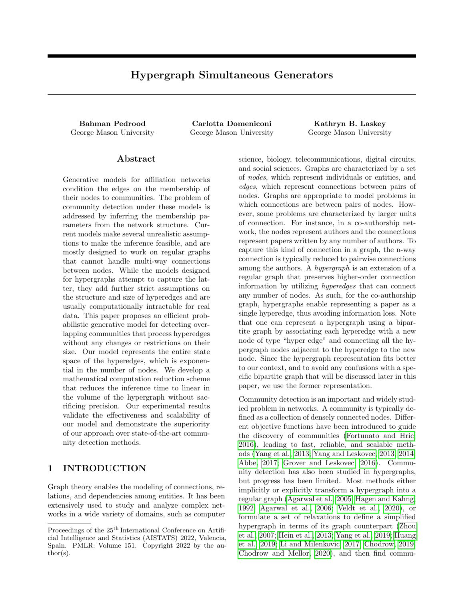<span id="page-6-0"></span>Table 2: Real world datasets used in the experiments. N: Number of nodes, H: Number of hyperedges, MH: Maximum hyperedge size, E: Number of edges in the regular graph converted from the hypergraph, C: Number of ground truth communities.

| Dataset    | -N    | н     | MН  | Ε.      | $\mathcal{C}$ |
|------------|-------|-------|-----|---------|---------------|
| <b>NSF</b> | 8.167 | 6,221 | -14 | 38,206  | 309           |
| Scratch    | 5.985 | 5.842 | 40  | 139,570 | 1,174         |
| DBLP       | 6.129 | 6.261 | -9  | 9.708   | 14            |

by measuring the similarity of discovered communities from each method against the ground truth in realworld networks. To quantify the similarities, we use the following performance measure, as done by [Yang](#page-9-1) [and Leskovec](#page-9-1) [\(2013\)](#page-9-1); [Yang et al.](#page-9-0) [\(2013\)](#page-9-0):

$$
F(\cdot; C; C) = \frac{1}{2jC} \sum_{C_i \geq C} \max_{C_j \geq C} (C_i; C_j) + \frac{1}{2jCj} \sum_{C_j \geq C} \max_{C_i \geq C} (C_i; C_j)
$$
(16)

where  $C$  represents the ground truth communities and C the detected communities.  $(C_i; C_j)$  is the F1 score or Jaccard index between the two sets  $C_i$  and  $C_i$ . Other similarity measures can also be used.

Our model has a large number of parameters; as such, the solution space is under-determined and our inference model is prone to converging to local maxima. A good community initialization helps the inference procedure to find a better solution. Our inference method allows any arbitrary initialization method to determine the initial community membership weights. To avoid any bias and advantage over the baseline methods, we use locally minimized neighborhoods [\(Gleich](#page-8-16) [and Seshadhri, 2012\)](#page-8-16), which is the same initialization method used in BigCLAM [\(Yang and Leskovec, 2013\)](#page-9-1). Further details on our optimization process and parameter assignments are given in appendix C.

#### 6.2 Synthetic Data Experiment

The goal of this experiment is to show how HySGen is capable of leveraging the hypergraph structure when no graph community detection method can perform well. We synthesized a hypergraph with 87 nodes and 55 hyperedges for an imaginary example of a school, where the nodes are individuals and hyperedges represent the meetings they attended. There are two ground truth communities: Computer Science and History students, shown as nodes with shades of blue and red, respectively, in fig. [2a](#page-7-0). In all the sub-figures of fig. [2,](#page-7-0) the membership weights of nodes are shown with a heat-map that displays larger weights with darker colors and smaller weights with lighter colors. The yellow

<span id="page-6-1"></span>Table 3: Performance comparison on real-world datasets over average F1 score and average Jaccard Index measures.

|              | F1 Score   |         |             | Jaccard Index |         |       |  |
|--------------|------------|---------|-------------|---------------|---------|-------|--|
| Method       | <b>NSF</b> | Scratch | <b>DBLP</b> | NSF           | Scratch | DBLP  |  |
| HySGen       | 0.200      | 0.441   | 0.117       | 0.117         | 0.322   | 0.064 |  |
| BigCLAM      | 0.168      | 0.372   | 0.063       | 0.095         | 0.256   | 0.034 |  |
| CoDA         | 0.163      | 0.396   | 0.035       | 0.091         | 0.284   | 0.021 |  |
| MotifCluster | 0.161      | 0.303   | 0.093       | 0.096         | 0.209   | 0.054 |  |
| Node2yec     | 0.172      | 0.351   | 0.124       | 0.097         | 0.237   | 0.068 |  |
| Link Clust.  | 0.073      | 0.250   | 0.004       | 0.046         | 0.157   | 0.002 |  |

<span id="page-6-2"></span>nodes in fig. [2a](#page-7-0) are not students and do not belong to any community. Out of 22 members of the blue community, 15 are senior students with strong affiliation to their community and are shown with dark blue, while 7 are freshmen who had very little activity.The same situation exists with old and new members in the red community. The hyperedges of the network are shown as colored contours around the nodes in fig. [2b](#page-7-0). A high density of hyperedges can be observed around the strong members of each community. There are also two big hyperedges of size 43 and 44 that correspond to two welcome parties held by the school and students are assigned randomly to one of the parties. Students are allowed to bring guests and that is why there are several yellow nodes in fig. [2a](#page-7-0) with no community affiliation. These very large hyperedges carry no meaningful information about the ground-truth communities and are included to investigate the resilience of our method to noisy hyperedges.

The nodes' colors in fig. [2b](#page-7-0) show the results of running HySGen on this hypergraph, with a 0:1 cutoff on the S values. The regular graph representation of the hypergraph is shown in fig. [2c](#page-7-0), where the edges are shown with straight lines connecting pairs of nodes. We can see that using hyperedges allows HySGen to discover communities that are very close to the ground-truth. However, when the hypergraph is converted to a graph, the two big hyperedges overshadow all the other connections, causing graph-based methods to infer incorrect communities.

#### 6.3 Real World Data Experiments

#### 6.3.1 Dataset Description

We extracted three hypergraphs from real-world datasets for our experiments. The pre-processing and hypergraph extraction procedures for NSF and Scratch follow the same steps as is done by [Revelle et al.](#page-9-13) [\(2015\)](#page-9-13). DBLP is extracted from a dataset provided by Kaminski et al. [\(2019\)](#page-8-17). For each of these hypergraphs, we took the largest connected component to be used in our experiments and filtered out the communities with fewer than three members. The statistics of the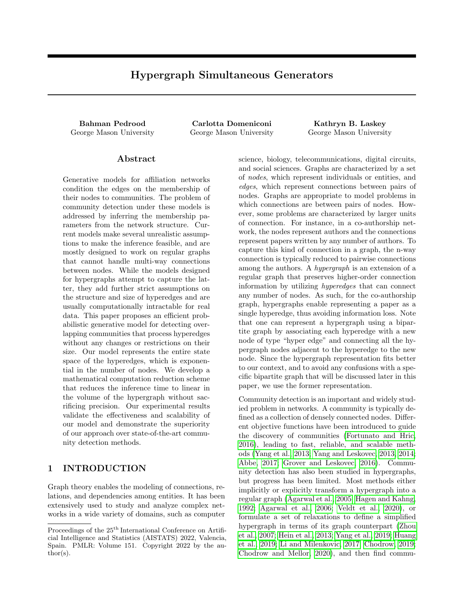

<span id="page-7-0"></span>Figure 2: Synthetic example: A hypergraph where nodes are individuals and hyperedges show the recorded gatherings. The nodes are copied in the same location in each sub-figure.  $a$ ) The ground truth for the hypergraph: Two main communities of CS students (red nodes) and history students (blue nodes), while yellow nodes belong to no community. b) The hypergraph's hyperedges are shown as contours that are colored for better visibility, and the discovered communities as colored nodes with darker blue and red colors show stronger affiliation. The yellow nodes have affiliation less than a threshold to any community. c) The edges of the graph equivalent of the hypergraph are shown as black lines, and the communities inferred form the graph are colored the same way as it is done in  $(b)$ .

largest connected component of each real-world data is provided in table [2.](#page-6-0) A summary of each dataset is provided in appendix D.

#### 6.3.2 Comparison Results

We evaluate HySGen against a range of baseline methods by comparing the performance of each method on the real-world datasets. All these methods run on the graph equivalent of the data. BigCLAM [\(Yang and](#page-9-1) [Leskovec, 2013\)](#page-9-1) is the closest graph algorithm to HyS-Gen and finds the overlapping communities by fitting a generative model to the graph. CoDA [\(Yang et al.,](#page-9-14) [2014\)](#page-9-14) finds communities that are characterized either by dense inner-connections, or through a two-step distance. Link Clustering [\(Ahn et al., 2010\)](#page-8-18) creates a dendrogram based on edge similarities for a hierarchical clustering scheme. We set the threshold on the dendrogram so that the number of discovered communities matches the number of the ground truth communities. Motifcluster [\(Benson et al., 2016\)](#page-8-19) creates a motif adjacency matrix based on the higher-order connection patterns in the graph, and uses spectral clustering to provide a node embedding for the graph. The communities are then found by applying k-means clustering on the nodes' features. Node2vec [\(Grover and](#page-8-2) [Leskovec, 2016\)](#page-8-2) also provides a node embedding, but it leverages a neural network approach to capture the connection patterns. As in MotifCluster, Node2vec finds the communities by applying k-means on the node features.

Table [3](#page-6-1) shows the results of applying the methods to the real-world datasets. The numbers in the table are computed by using [\(16\)](#page-6-2) to compare each method against the ground truth communities. To have a more solid comparison, we produced two performance measures based on F1-score and Jaccard similarity. The results show that HySGen outperforms the baselines in both measures for the NSF and Scratch datasets. In DBLP, Node2vec has a narrow lead over our method, but HySGen still outperforms the other baselines with a noteworthy margin. Compared to NSF and Scratch, DBLP has a comparable number of nodes, but it has significantly fewer hyperedges and ground truth communities. One may argue that the high-dimensional embedding of Node2vec is able to better capture the relatively little amount of connection information provided in this data. HySGen can still outperform Node2vec when the hypergraph is not too sparse. Confirming this conjecture requires further investigation and experiments.

## 7 CONCLUSION

We proposed Hypergraph Simultaneous Generators (HySGen), a probabilistic model for discovering overlapping communities in hypergraphs. We showed that our proposed inference method can accurately detect communities by leveraging the higher order connections of the hyperedges. Thanks to the proposed computation reduction scheme and our efficient implementation, the method is relatively fast and scalable to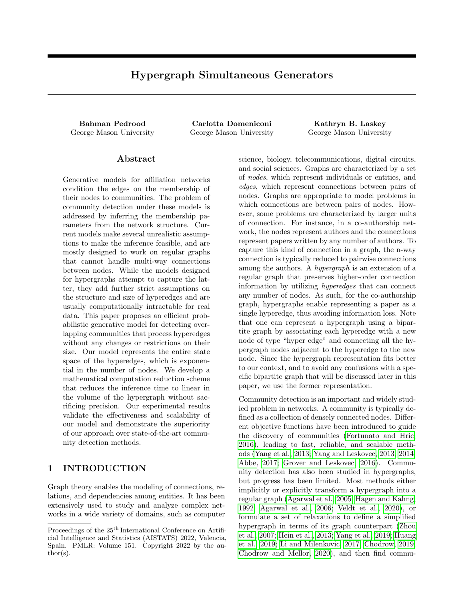large hypergraphs with tens of thousands of hyperedges. Nevertheless, the inference can be slow when the hypergraph has millions of hyperedges and tens of thousands of communities are to be discovered. Since most of the computations in each iteration go for the line search in practice, this problem can be significantly improved by developing a parallel processing implementation of the updating algorithm for the community membership values of each node independently and then using those values for a fast sequential updating of  $\eta$  via [\(15\)](#page-5-1). HySGen is the first method of its kind that is based on affiliation networks, and can be used as a basis to develop many other methods by changing the generative model's assumptions and structure. It is developed for simple, unweighted, and undirected hypergraphs, and can be extended to be applied to other types of hypergraphs.

#### References

- <span id="page-8-1"></span>E. Abbe. Community detection and stochastic block models: recent developments. The Journal of Machine Learning Research, 18(1):6446–6531, 2017.
- <span id="page-8-3"></span>S. Agarwal, J. Lim, L. Zelnik-Manor, P. Perona, D. Kriegman, and S. Belongie. Beyond pairwise clustering. In Computer Vision and Pattern Recognition, 2005. CVPR 2005. IEEE Computer Society Conference on, volume 2, pages 838–845. IEEE, 2005.
- <span id="page-8-5"></span>S. Agarwal, K. Branson, and S. Belongie. Higher order learning with graphs. In Proceedings of the 23rd international conference on Machine learning, pages 17–24. ACM, 2006.
- <span id="page-8-18"></span>Y.-Y. Ahn, J. P. Bagrow, and S. Lehmann. Link communities reveal multiscale complexity in networks. nature, 466(7307):761–764, 2010.
- <span id="page-8-13"></span>M. C. Angelini, F. Caltagirone, F. Krzakala, and L. Zdeborová. Spectral detection on sparse hypergraphs. In 2015 53rd Annual Allerton Conference on Communication, Control, and Computing (Allerton), pages 66–73. IEEE, 2015.
- <span id="page-8-20"></span>L. Armijo. Minimization of functions having lipschitz continuous first partial derivatives. Pacific Journal of mathematics, 16(1):1–3, 1966.
- <span id="page-8-19"></span>A. R. Benson, D. F. Gleich, and J. Leskovec. Higherorder organization of complex networks. Science, 353(6295):163–166, 2016.
- <span id="page-8-21"></span>G. Boros and V. Moll. Irresistible integrals: symbolics, analysis and experiments in the evaluation of integrals, page 14. Cambridge University Press, 2004.
- <span id="page-8-10"></span>S. R. Bulò and M. Pelillo. A game-theoretic approach to hypergraph clustering. In Advances in neural information processing systems, pages 1571–1579, 2009.
- <span id="page-8-9"></span>P. Chodrow and A. Mellor. Annotated hypergraphs: Models and applications. Applied Network Science, 5(1):9, 2020.
- <span id="page-8-8"></span>P. S. Chodrow. Configuration models of random hypergraphs and their applications. arXiv preprint arXiv:1902.09302, 2019.
- <span id="page-8-14"></span>P. S. Chodrow, N. Veldt, and A. R. Benson. Generative hypergraph clustering: from blockmodels to modularity. arXiv preprint arXiv:2101.09611, 2021.
- <span id="page-8-0"></span>S. Fortunato and D. Hric. Community detection in networks: A user guide. Physics Reports, 659:1–44, 2016.
- <span id="page-8-11"></span>D. Ghoshdastidar and A. Dukkipati. Consistency of spectral partitioning of uniform hypergraphs under planted partition model. In Advances in Neural Information Processing Systems, pages 397–405, 2014.
- <span id="page-8-16"></span>D. F. Gleich and C. Seshadhri. Vertex neighborhoods, low conductance cuts, and good seeds for local community methods. In Proceedings of the 18th ACM SIGKDD international conference on Knowledge discovery and data mining, pages 597– 605, 2012.
- <span id="page-8-2"></span>A. Grover and J. Leskovec. node2vec: Scalable feature learning for networks. In Proceedings of the 22nd ACM SIGKDD international conference on Knowledge discovery and data mining, pages 855– 864, 2016.
- <span id="page-8-4"></span>L. Hagen and A. B. Kahng. New spectral methods for ratio cut partitioning and clustering. IEEE transactions on computer-aided design of integrated circuits and systems, 11(9):1074–1085, 1992.
- <span id="page-8-15"></span>D. Heckerman. Causal independence for knowledge acquisition and inference. In Uncertainty in Artificial Intelligence, pages 122–127. Elsevier, 1993.
- <span id="page-8-6"></span>M. Hein, S. Setzer, L. Jost, and S. S. Rangapuram. The total variation on hypergraphs-learning on hypergraphs revisited. In Advances in Neural Information Processing Systems, pages 2427–2435, 2013.
- <span id="page-8-7"></span>J. Huang, X. Liu, and Y. Song. Hyper-path-based representation learning for hyper-networks. In Proceedings of the 28th ACM International Conference on Information and Knowledge Management, pages 449–458, 2019.
- <span id="page-8-12"></span>D. Jin, Z. Yu, P. Jiao, S. Pan, P. S. Yu, and W. Zhang. A survey of community detection approaches: From statistical modeling to deep learning. arXiv preprint arXiv:2101.01669, 2021.
- <span id="page-8-17"></span>B. Kamiński, V. Poulin, P. Prałat, P. Szufel, and F. Théberge. Clustering via hypergraph modularity. PloS one, 14(11), 2019.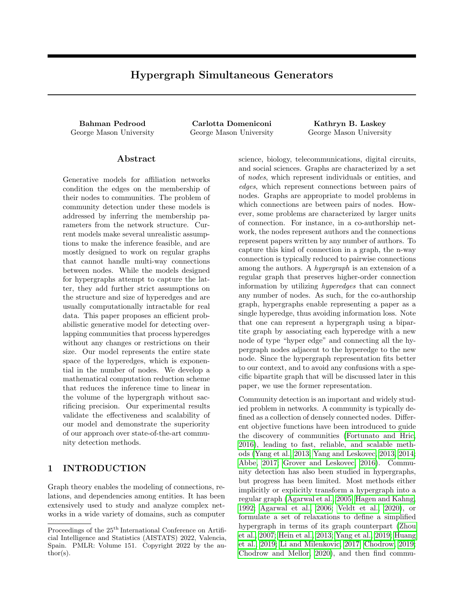- <span id="page-9-10"></span>Z. T. Ke, F. Shi, and D. Xia. Community detection for hypergraph networks via regularized tensor power iteration. arXiv preprint arXiv:1909.06503, 2019.
- <span id="page-9-7"></span>C. Kim, A. S. Bandeira, and M. X. Goemans. Community detection in hypergraphs, spiked tensor models, and sum-of-squares. *arXiv preprint* arXiv:1705.02973, 2017.
- <span id="page-9-11"></span>C. Kim, A. S. Bandeira, and M. X. Goemans. Stochastic block model for hypergraphs: Statistical limits and a semidefinite programming approach. arXiv preprint arXiv:1807.02884, 2018.
- <span id="page-9-9"></span>S. Lattanzi and D. Sivakumar. Affiliation networks. In Proceedings of the forty-first annual ACM symposium on Theory of computing, pages 427–434, 2009.
- <span id="page-9-8"></span>M. Leordeanu and C. Sminchisescu. Efficient hypergraph clustering. In International Conference on Artificial Intelligence and Statistics, pages 676–684, 2012.
- <span id="page-9-12"></span>J. Leskovec and R. Sosič. Snap: A general-purpose network analysis and graph-mining library. ACM Transactions on Intelligent Systems and Technology  $(TIST), 8(1):1, 2016.$
- <span id="page-9-6"></span>P. Li and O. Milenkovic. Inhomogeneous hypergraph clustering with applications. In Advances in Neural Information Processing Systems, pages 2308–2318, 2017.
- <span id="page-9-13"></span>M. Revelle, C. Domeniconi, M. Sweeney, and A. Johri. Finding community topics and membership in graphs. In Machine Learning and Knowledge Discovery in Databases, pages 625–640. Springer, 2015.
- <span id="page-9-3"></span>N. Veldt, A. Wirth, and D. F. Gleich. Parameterized objectives and algorithms for clustering bipartite graphs and hypergraphs. arXiv preprint arXiv:2002.09460, 2020.
- <span id="page-9-5"></span>D. Yang, B. Qu, J. Yang, and P. Cudre-Mauroux. Revisiting user mobility and social relationships in lbsns: A hypergraph embedding approach. In The World Wide Web Conference, pages 2147–2157, 2019.
- <span id="page-9-1"></span>J. Yang and J. Leskovec. Overlapping community detection at scale: a nonnegative matrix factorization approach. In Proceedings of the sixth ACM international conference on Web search and data mining, pages 587–596. ACM, 2013.
- <span id="page-9-2"></span>J. Yang and J. Leskovec. Structure and overlaps of ground-truth communities in networks. ACM Transactions on Intelligent Systems and Technology  $(TIST)$ , 5(2):26, 2014.
- <span id="page-9-0"></span>J. Yang, J. McAuley, and J. Leskovec. Community detection in networks with node attributes. In Data Mining (ICDM), 2013 IEEE 13th international conference on, pages 1151–1156. IEEE, 2013.
- <span id="page-9-14"></span>J. Yang, J. McAuley, and J. Leskovec. Detecting cohesive and 2-mode communities indirected and undirected networks. In Proceedings of the 7th ACM international conference on Web search and data mining, pages 323–332, 2014.
- <span id="page-9-4"></span>D. Zhou, J. Huang, and B. Schölkopf. Learning with hypergraphs: Clustering, classification, and embedding. In Advances in neural information processing systems, pages 1601–1608, 2007.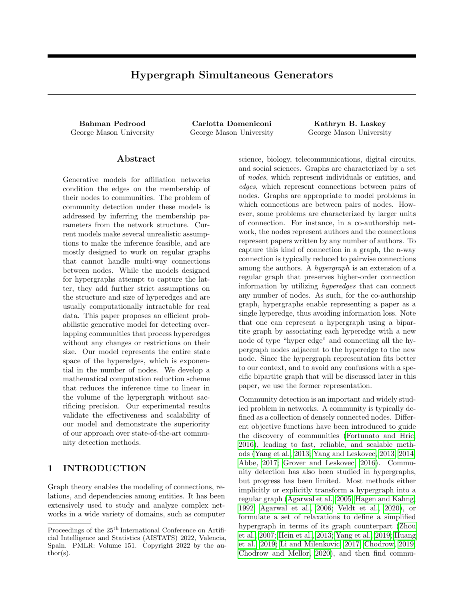### <span id="page-10-1"></span>A PARTIAL DERIVATIVES COMPUTATION REDUCTION FORMULATION

As discussed in section [5,](#page-3-0) to have a computationally tractable inference of the communities, we need to develop an efficient way to compute the summations on  $\bar{e}$   $\bar{\mathcal{E}}$  E in both [\(5\)](#page-3-6) and [\(6\)](#page-3-4). In section [5.1,](#page-4-6) we developed a mathematical transformation for the summation on  $\bar{e} \, Z \bar{E}$  in [\(5\)](#page-3-6) to make it accessible as a function of  $n(\Upsilon_c^0, c)$ in  $O(1)$ . The formulations were completed by developing an  $O(1)$  procedure to compute updated values of each  $_{n}(\Upsilon_{c}^{0}, c)$  in section [5.2.](#page-5-0) In this section, we follow similar steps to the ones in section [5.1](#page-4-6) toward developing an  $O(1)$  procedure for computing the summation on  $\bar{e}$   $\bar{\mathcal{E}}$  in [\(6\)](#page-3-4). We start with rewriting (6) as:

$$
\frac{\mathcal{L}_{H}(S_{vc})}{\mathcal{E}_{Vc}} = \frac{\prod_{\substack{r: c \in \mathcal{F}(Vg) \\ f \in 2E}} S_{mc} \prod_{b \geq (|C| - f c g)} (1 \prod_{u \geq e} S_{ub})}{1 \prod_{b=1}^{C} (1 \prod_{u \geq e} S_{ub})}
$$
\n
$$
\Psi^{(\mathcal{E})} \left( \frac{f e 2E}{j v 2 e g'} c \right) = s I_{1}(S_{vc})
$$
\n(A.1)

where  $\Psi^{(\mathcal{Q})}(\mathcal{A}, \mathcal{C})$  is the partial derivative equivalent of [\(8\)](#page-4-1) and defined as given below:

$$
\Psi^{(\mathcal{Q})}(\mathcal{A};c) = \frac{1}{S_{\mathit{VC}}} \sum_{\kappa \geq \mathcal{A}} \frac{\prod_{u \geq \kappa} S_{uc}}{1 - \prod_{u \geq \kappa} S_{uc}} \tag{A.2}
$$

Taking the same considerations for  $\prod_{u\geq v} S_{vc}$  as we did in section [5.1](#page-4-6) for [\(10\)](#page-4-2), a Taylor expansion representation for  $\Psi^{(e)}(A; c)$  is yielded as:

<span id="page-10-0"></span>
$$
\Psi^{(e)}(A;c) = \frac{1}{S_{vc}} \sum_{n \ge 0} \sum_{n=1}^{n_1} \left( \prod_{u \ge 0} S_{uc} \right)^n
$$
\n
$$
= \frac{1}{S_{vc}} \sum_{n=1}^{n_1} n \qquad n(A;c)
$$
\n(A.3)

where  $n(A; c)$  is the same function that is used in [\(10\)](#page-4-2).

It is trivial to show that  $\Psi^{(\mathscr{E})}(\tilde{f}^{e2\mathcal{E}}_{j\vee 2eg'}c) = \Psi^{(\mathscr{E})}(\Upsilon_{\mathsf{vc}};c) \quad \Psi^{(\mathscr{E})}(\tilde{f}^{e2\mathcal{E}}_{j\vee 2eg'}c)$ . Analogous to the discussion in section [5.1,](#page-4-6) the key to reducing the time complexity of computing  $\Psi^{(\mathscr{E})}(\mathring{f}^{e2E}_{j\vee 2eg'}c)$  is to compute  $\Psi^{(\mathscr{E})}(\Upsilon_{\nu c};c)$ . As [\(A.3\)](#page-10-0) indicates, the latter can be computed in  $O(1)$  by applying [\(13\)](#page-4-5) to the same  $\Psi^{(e)}(\Upsilon_c^{\theta},c)$  values that are initialized and updated in section [5.2.](#page-5-0) This means that, for an efficient computation of the gradient vectors, we only need what we have already computed, and no additional initialization and updating steps are necessary. Note that for [\(A.3\)](#page-10-0) to work, we should have  $S_{VC}^{old} > 0$ . However, if  $S_{VC}^{old} = 0$ , its value can be computed by only taking the  $n = 1^{st}$ term of the Taylor expansion as  $\Psi^{(\mathcal{Q})}(S;\mathcal{C}) = \pi(\Upsilon_{\mathcal{C}}^{\mathcal{O}};\mathcal{C}).$ 

### <span id="page-10-2"></span>B COMPLEXITY ANALYSIS

Our inference algorithm (sections [4](#page-2-2) and [5\)](#page-3-0) iteratively updates the community membership values until reaching a local maximum for [\(4\)](#page-3-3). At each iteration, we should update the  $S_{VC}$  values for all N nodes and C communities. To update each  $S_{VC}$ , since we are using the method of coordinate ascent, we should compute the partial derivatives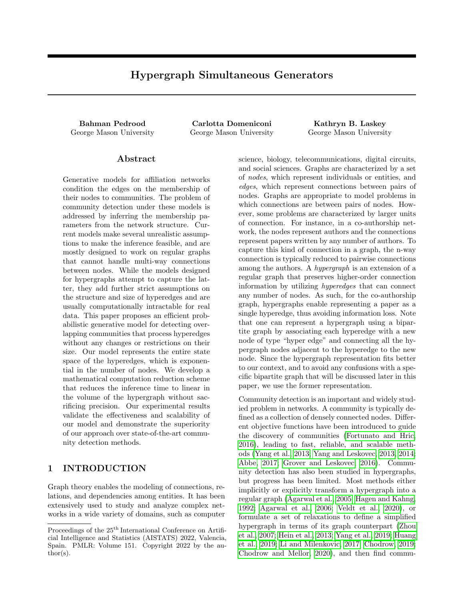in [\(6\)](#page-3-4); and because we use Armijo-Goldstein's backtracking line search [\(Armijo, 1966\)](#page-8-20) for finding the step sizes, we should also compute [\(5\)](#page-3-6). We proceed the analysis with [\(6\)](#page-3-4) as it is the computationally dominant formula and has more operations for each output  $S_{VC}$  component. Without the computation reduction platform in section [5,](#page-3-0) computing [\(6\)](#page-3-4) includes  $2^{N-1}$  summation terms for each potential hyperedge adjacent to  $V$ . Each term in the summation corresponding to the hyperedges includes a product of  $C$  sub-terms, and each sub-term includes multiplying as many items as the size of the hyperedge. Considering the closed-form evaluation of the sum of the sizes of all possible hyperedges adjacent to  $V$  [\(Boros and Moll, 2004\)](#page-8-21), computing [\(6\)](#page-3-4) takes  $O(CN2^{N-2})$ operations. Since this should be computed for all the nodes and communities, a complete inference iteration is done in  $O(C^2N^22^{N-2})$ .

By introducing the computation reduction scheme in sections [5.1](#page-4-6) and [5.2,](#page-5-0) we still have to update  $C \in \mathcal{N}$  values of  $S_{VC}$  at each iteration. But the change in the complexity order comes from reducing the number of computations for updating each  $S_{VC}$ . This reduction is two-fold, one for the summations over  $fe$  2 Eg and the other for the summations over  $f \in \mathcal{E}$  2 Eg in [\(4\)](#page-3-3) and [\(6\)](#page-3-4).

For the  $fe$  2 Eg summation, instead of directly computing all parts of a term, we follow an initialization+update scheme for the following subformulas: 1)  $\prod_{u\geq e} S_{uc}$  for M hyperedges and C communities, 2)  $\prod_{c=0}^{C} (1 - \prod_{u\geq e} S_{uc})$ for M hyperedges, and 3)  $\sum_{c=0}^{C} \log (1 - \prod_{u \geq e} S_{uc})$  for M hyperedges. Initializing these subformulas with a fixed  $S_{VC}$  value for the initially assigned members of the communities takes a total of  $\tilde{O}(C/M)$  calculations. Then for every new  $S_{VC}^{(t)}$  value computed during a parameter inference iteration, the saved values for the above subformulas that include  $S_{VC}$  should be updated. It is trivial to show that updating each one of them can be done in  $O(1)$ . In a complete iteration, the terms corresponding to all hyperedges should be updated, and for each hyperedge, the corresponding term is updated as many times as the size of the hyperedge. Consequently, the overall complexity of updating these terms in an iteration is  $O(C \text{ vol}_{H}).$ 

For the  $\bar{r}e$  2  $\bar{E}g$  summation, the analytical initialization solution in [\(14\)](#page-5-3) and updating formula in [\(15\)](#page-5-1) for  $n(\Upsilon_c^{\theta};c)$  are both done in  $O(1)$ . For every newly computed  $S_{VC}^{(t)}$ ,  $n_1$  number of  $n(\Upsilon_c^{\theta};c)$  values should be updated. However, the terms of the Taylor expansion approach zero after few terms, and setting  $n_1$  to a small constant at the beginning of the inference gives sufficient precision. In our experiments we set this parameter to 30 and the  $30<sup>th</sup>$  term has never exceeded 10<sup>5</sup> (most of the times it goes to zero in much less terms). This means the total computational cost of updating the  $n(\Upsilon_c^{\phi}; c)$  values for all  $n = 1; \ldots; n<sub>1</sub>$  is  $O(1)$ . We should also emphasize that while we set  $n_1 = 30$  in our implementation, setting a larger value 1) does not have any affect on the output for the hypergraphs used in our experiments, and 2) has virtually no effect on the inference speed, as the algorithm stops going to  $n+1$  after  $n(\Upsilon_c^{\theta}, c)$  becomes less than a threshold (which is set to  $10^{-5}$  in our implementation. As explained in section [5](#page-3-0) and appendix [A,](#page-10-1) all the intermediate steps from [\(13\)](#page-4-5) up to computing  $\Psi^{f\in 2\mathcal{E}}_{j\nu 2eg'}c$  and  $\Psi^{(\mathcal{E})}(f^{e2\mathcal{E}}_{j\nu 2eg'}c)$  also take  $O(1)$  operations. So the total computational cost for the fe  $2 \bar{E}g$  summations in [\(4\)](#page-3-3) and [\(6\)](#page-3-4) is  $O(C \cap N)$ , which is dominated by the cost of fe  $2 \bar{E}g$  summations. This means the total computational cost of one updating iteration in our inference algorithm is reduced to  $O(C \text{ vol}_{H}).$ 

### C OPTIMIZATION AND PARAMETER ASSIGNMENTS

Our inference method uses Block Coordinate Ascent to update the community membership values S as explained in section [4.](#page-2-2) In each round of the updating iterations, the nodes are shuffled in a random order, then each node v is chosen one at a time to update the vector  $S_{v}$ . At each iteration, our inference follows a *stochastic* gradient ascent scheme: after calculating the new value for  $V$ , the change is applied on  $S$  and the stored term mentioned in section [5.2](#page-5-0) and appendix [B](#page-10-2) are updated, for the next nodes in the agenda. To update each  $S_{V}$ : in [\(7\)](#page-3-5), we use the Backtracking Line Search method to find the coefficients. The solution space for S is constrained and each  $0\quad S_{\nu c}$  1. It can be shown that the Karush-Kuhn-Tucker (KKT) conditions satisfy the subproblem of [\(5\)](#page-3-6) for all its associated inequality constraints. We incorporated the second KKT condition (Complimentary Slackness) in our updating iterations and allow the components of  $S_{V}$ : to adjust their update in [\(7\)](#page-3-5) according to their binding or non-binding standing. Specifically, we start the search direction as  $p = r\mathsf{L}_{\mathsf{H}}(S_{\mathcal{V}})$  for every that has to be tried during the line search. Then if  $S_{VC} + p_c$  exceeds an inequality constraint for some component c, we set  $p_c$  so that  $S_{\nu c}$  +  $p_c$  becomes binding to that constraint. After a satisfying  $p_c$  is chosen, we change its corresponding component in  $p$  to the new value and use the vector p instead of the original  $r \mathsf{L}_{\mathsf{H}}(S_{\mathcal{V}})$  in [\(7\)](#page-3-5), to update  $S_{V}$ .